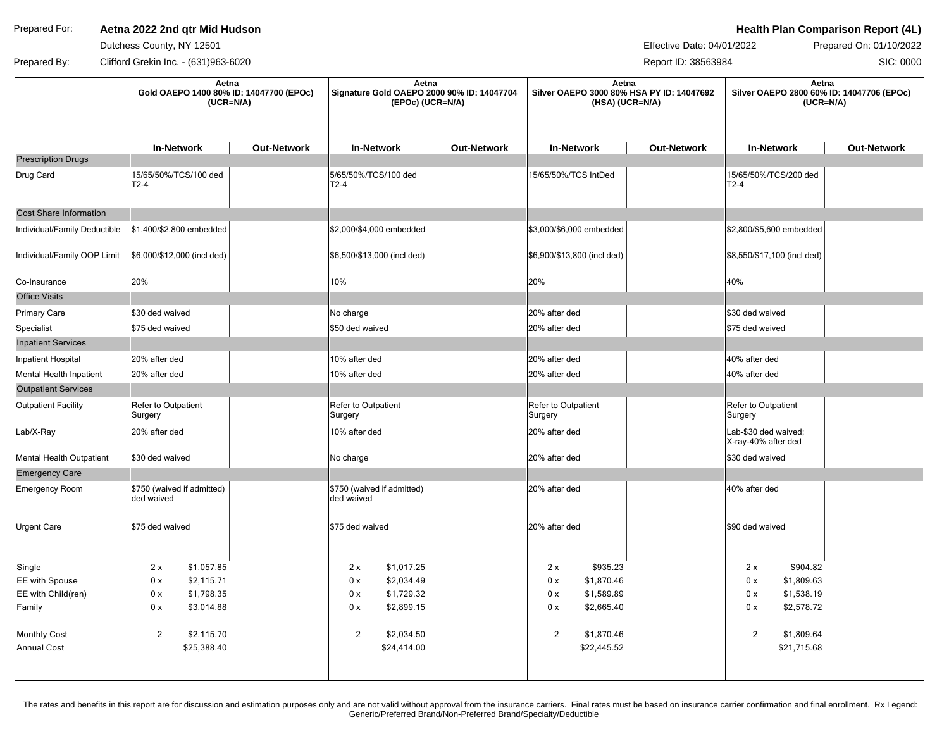# Prepared For: **Aetna 2022 2nd qtr Mid Hudson Action Health Plan Comparison Report (4L)**

Dutchess County, NY 12501

Effective Date: 04/01/2022 Prepared On: 01/10/2022

SIC: 0000

Prepared By: Clifford Grekin Inc. - (631)963-6020 Report ID: 38563984

|                               | Aetna<br>Gold OAEPO 1400 80% ID: 14047700 (EPOc)<br>$(UCR=N/A)$ |                    | Aetna<br>Signature Gold OAEPO 2000 90% ID: 14047704<br>(EPOc) (UCR=N/A) |                    | Aetna<br>Silver OAEPO 3000 80% HSA PY ID: 14047692<br>(HSA) (UCR=N/A) |                    | Aetna<br>Silver OAEPO 2800 60% ID: 14047706 (EPOc)<br>$(UCR=N/A)$ |                    |
|-------------------------------|-----------------------------------------------------------------|--------------------|-------------------------------------------------------------------------|--------------------|-----------------------------------------------------------------------|--------------------|-------------------------------------------------------------------|--------------------|
|                               | <b>In-Network</b>                                               | <b>Out-Network</b> | <b>In-Network</b>                                                       | <b>Out-Network</b> | <b>In-Network</b>                                                     | <b>Out-Network</b> | <b>In-Network</b>                                                 | <b>Out-Network</b> |
| <b>Prescription Drugs</b>     |                                                                 |                    |                                                                         |                    |                                                                       |                    |                                                                   |                    |
| Drug Card                     | 15/65/50%/TCS/100 ded<br>T2-4                                   |                    | 5/65/50%/TCS/100 ded<br>$T2-4$                                          |                    | 15/65/50%/TCS IntDed                                                  |                    | 15/65/50%/TCS/200 ded<br>$T2-4$                                   |                    |
| <b>Cost Share Information</b> |                                                                 |                    |                                                                         |                    |                                                                       |                    |                                                                   |                    |
| Individual/Family Deductible  | \$1,400/\$2,800 embedded                                        |                    | \$2,000/\$4,000 embedded                                                |                    | \$3,000/\$6,000 embedded                                              |                    | \$2,800/\$5,600 embedded                                          |                    |
| Individual/Family OOP Limit   | \$6,000/\$12,000 (incl ded)                                     |                    | \$6,500/\$13,000 (incl ded)                                             |                    | \$6,900/\$13,800 (incl ded)                                           |                    | \$8,550/\$17,100 (incl ded)                                       |                    |
| Co-Insurance                  | 20%                                                             |                    | 10%                                                                     |                    | 20%                                                                   |                    | 40%                                                               |                    |
| <b>Office Visits</b>          |                                                                 |                    |                                                                         |                    |                                                                       |                    |                                                                   |                    |
| Primary Care                  | \$30 ded waived                                                 |                    | No charge                                                               |                    | 20% after ded                                                         |                    | S30 ded waived                                                    |                    |
| Specialist                    | \$75 ded waived                                                 |                    | \$50 ded waived                                                         |                    | 20% after ded                                                         |                    | \$75 ded waived                                                   |                    |
| <b>Inpatient Services</b>     |                                                                 |                    |                                                                         |                    |                                                                       |                    |                                                                   |                    |
| Inpatient Hospital            | 20% after ded                                                   |                    | 10% after ded                                                           |                    | 20% after ded                                                         |                    | 40% after ded                                                     |                    |
| Mental Health Inpatient       | 20% after ded                                                   |                    | 10% after ded                                                           |                    | 20% after ded                                                         |                    | 40% after ded                                                     |                    |
| <b>Outpatient Services</b>    |                                                                 |                    |                                                                         |                    |                                                                       |                    |                                                                   |                    |
| <b>Outpatient Facility</b>    | Refer to Outpatient<br>Surgery                                  |                    | Refer to Outpatient<br>Surgery                                          |                    | Refer to Outpatient<br>Surgery                                        |                    | Refer to Outpatient<br>Surgery                                    |                    |
| Lab/X-Ray                     | 20% after ded                                                   |                    | 10% after ded                                                           |                    | 20% after ded                                                         |                    | Lab-\$30 ded waived;<br>X-ray-40% after ded                       |                    |
| Mental Health Outpatient      | \$30 ded waived                                                 |                    | No charge                                                               |                    | 20% after ded                                                         |                    | \$30 ded waived                                                   |                    |
| <b>Emergency Care</b>         |                                                                 |                    |                                                                         |                    |                                                                       |                    |                                                                   |                    |
| <b>Emergency Room</b>         | \$750 (waived if admitted)<br>ded waived                        |                    | \$750 (waived if admitted)<br>ded waived                                |                    | 20% after ded                                                         |                    | 40% after ded                                                     |                    |
| <b>Urgent Care</b>            | \$75 ded waived                                                 |                    | \$75 ded waived                                                         |                    | 20% after ded                                                         |                    | S90 ded waived                                                    |                    |
| Single                        | 2x<br>\$1,057.85                                                |                    | \$1,017.25<br>2x                                                        |                    | \$935.23<br>2x                                                        |                    | \$904.82<br>2x                                                    |                    |
| EE with Spouse                | 0 x<br>\$2,115.71                                               |                    | 0 x<br>\$2,034.49                                                       |                    | 0 x<br>\$1,870.46                                                     |                    | \$1,809.63<br>0 x                                                 |                    |
| EE with Child(ren)            | 0 x<br>\$1,798.35                                               |                    | \$1,729.32<br>0 x                                                       |                    | \$1,589.89<br>0 x                                                     |                    | \$1,538.19<br>0 x                                                 |                    |
| Family                        | \$3,014.88<br>0 x                                               |                    | \$2,899.15<br>0 x                                                       |                    | 0 x<br>\$2,665.40                                                     |                    | \$2,578.72<br>0 x                                                 |                    |
| <b>Monthly Cost</b>           | 2<br>\$2,115.70                                                 |                    | $\overline{2}$<br>\$2,034.50                                            |                    | $\overline{2}$<br>\$1,870.46                                          |                    | $\overline{2}$<br>\$1,809.64                                      |                    |
| <b>Annual Cost</b>            | \$25,388.40                                                     |                    | \$24,414.00                                                             |                    | \$22,445.52                                                           |                    | \$21,715.68                                                       |                    |
|                               |                                                                 |                    |                                                                         |                    |                                                                       |                    |                                                                   |                    |

The rates and benefits in this report are for discussion and estimation purposes only and are not valid without approval from the insurance carriers. Final rates must be based on insurance carrier confirmation and final en Generic/Preferred Brand/Non-Preferred Brand/Specialty/Deductible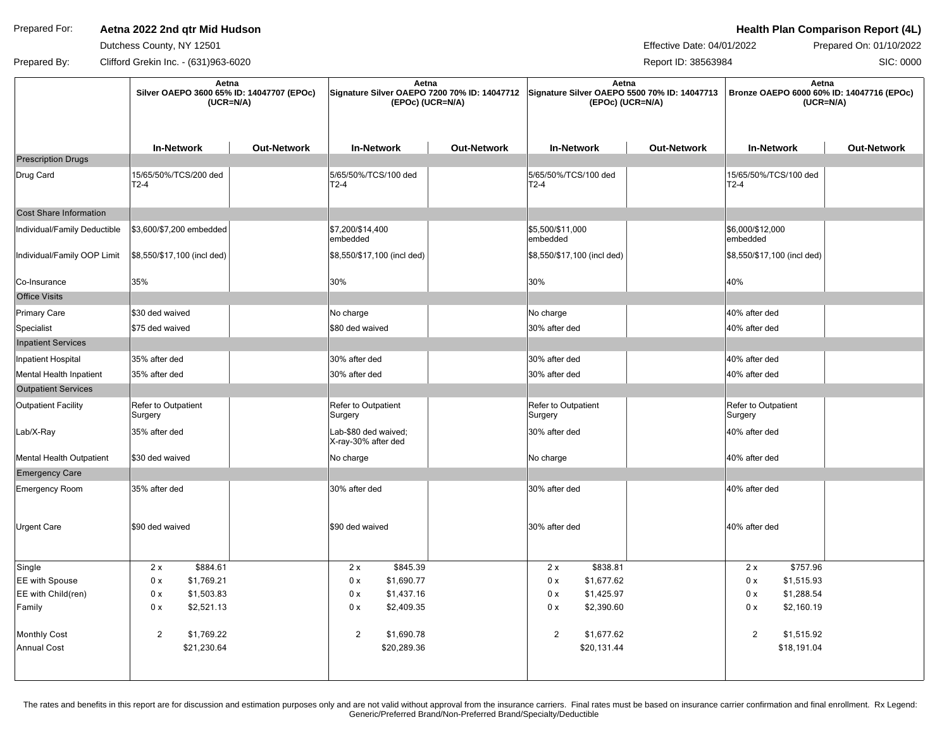# Prepared For: **Aetna 2022 2nd qtr Mid Hudson Action Health Plan Comparison Report (4L)**

Dutchess County, NY 12501

Effective Date: 04/01/2022 Prepared On: 01/10/2022

SIC: 0000

Prepared By: Clifford Grekin Inc. - (631)963-6020 Report ID: 38563984

|                              | Aetna<br>Silver OAEPO 3600 65% ID: 14047707 (EPOc)<br>$(UCR=N/A)$ |                    | Aetna<br>Signature Silver OAEPO 7200 70% ID: 14047712 Signature Silver OAEPO 5500 70% ID: 14047713<br>(EPOc) (UCR=N/A) |                    | Aetna<br>(EPOc) (UCR=N/A)      |                    | Aetna<br>Bronze OAEPO 6000 60% ID: 14047716 (EPOc)<br>$(UCR=N/A)$ |                    |
|------------------------------|-------------------------------------------------------------------|--------------------|------------------------------------------------------------------------------------------------------------------------|--------------------|--------------------------------|--------------------|-------------------------------------------------------------------|--------------------|
|                              | <b>In-Network</b>                                                 | <b>Out-Network</b> | <b>In-Network</b>                                                                                                      | <b>Out-Network</b> | <b>In-Network</b>              | <b>Out-Network</b> | <b>In-Network</b>                                                 | <b>Out-Network</b> |
| <b>Prescription Drugs</b>    |                                                                   |                    |                                                                                                                        |                    |                                |                    |                                                                   |                    |
| Drug Card                    | 15/65/50%/TCS/200 ded<br>$T2-4$                                   |                    | 5/65/50%/TCS/100 ded<br>T2-4                                                                                           |                    | 5/65/50%/TCS/100 ded<br>$T2-4$ |                    | 15/65/50%/TCS/100 ded<br>$T2-4$                                   |                    |
| Cost Share Information       |                                                                   |                    |                                                                                                                        |                    |                                |                    |                                                                   |                    |
| Individual/Family Deductible | \$3,600/\$7,200 embedded                                          |                    | \$7,200/\$14,400<br>embedded                                                                                           |                    | \$5,500/\$11,000<br>embedded   |                    | \$6,000/\$12,000<br>embedded                                      |                    |
| Individual/Family OOP Limit  | \$8,550/\$17,100 (incl ded)                                       |                    | \$8,550/\$17,100 (incl ded)                                                                                            |                    | \$8,550/\$17,100 (incl ded)    |                    | \$8,550/\$17,100 (incl ded)                                       |                    |
| Co-Insurance                 | 35%                                                               |                    | 30%                                                                                                                    |                    | 30%                            |                    | 40%                                                               |                    |
| <b>Office Visits</b>         |                                                                   |                    |                                                                                                                        |                    |                                |                    |                                                                   |                    |
| Primary Care                 | \$30 ded waived                                                   |                    | No charge                                                                                                              |                    | No charge                      |                    | 40% after ded                                                     |                    |
| Specialist                   | \$75 ded waived                                                   |                    | \$80 ded waived                                                                                                        |                    | 30% after ded                  |                    | 40% after ded                                                     |                    |
| <b>Inpatient Services</b>    |                                                                   |                    |                                                                                                                        |                    |                                |                    |                                                                   |                    |
| Inpatient Hospital           | 35% after ded                                                     |                    | 30% after ded                                                                                                          |                    | 30% after ded                  |                    | 40% after ded                                                     |                    |
| Mental Health Inpatient      | 35% after ded                                                     |                    | 30% after ded                                                                                                          |                    | 30% after ded                  |                    | 40% after ded                                                     |                    |
| <b>Outpatient Services</b>   |                                                                   |                    |                                                                                                                        |                    |                                |                    |                                                                   |                    |
| Outpatient Facility          | Refer to Outpatient<br>Surgery                                    |                    | Refer to Outpatient<br>Surgery                                                                                         |                    | Refer to Outpatient<br>Surgery |                    | Refer to Outpatient<br>Surgery                                    |                    |
| Lab/X-Ray                    | 35% after ded                                                     |                    | Lab-\$80 ded waived;<br>X-ray-30% after ded                                                                            |                    | 30% after ded                  |                    | 40% after ded                                                     |                    |
| Mental Health Outpatient     | \$30 ded waived                                                   |                    | No charge                                                                                                              |                    | No charge                      |                    | 40% after ded                                                     |                    |
| <b>Emergency Care</b>        |                                                                   |                    |                                                                                                                        |                    |                                |                    |                                                                   |                    |
| <b>Emergency Room</b>        | 35% after ded                                                     |                    | 30% after ded                                                                                                          |                    | 30% after ded                  |                    | 40% after ded                                                     |                    |
| Urgent Care                  | \$90 ded waived                                                   |                    | \$90 ded waived                                                                                                        |                    | 30% after ded                  |                    | 40% after ded                                                     |                    |
| Single                       | 2x<br>\$884.61                                                    |                    | \$845.39<br>2x                                                                                                         |                    | \$838.81<br>2x                 |                    | 2x<br>\$757.96                                                    |                    |
| EE with Spouse               | 0 x<br>\$1,769.21                                                 |                    | \$1,690.77<br>0 x                                                                                                      |                    | 0 x<br>\$1,677.62              |                    | \$1,515.93<br>0 x                                                 |                    |
| EE with Child(ren)           | 0 x<br>\$1,503.83                                                 |                    | \$1,437.16<br>0 x                                                                                                      |                    | 0 x<br>\$1,425.97              |                    | 0 x<br>\$1,288.54                                                 |                    |
| Family                       | \$2,521.13<br>0 x                                                 |                    | \$2,409.35<br>0 x                                                                                                      |                    | \$2,390.60<br>0 x              |                    | 0 x<br>\$2,160.19                                                 |                    |
| <b>Monthly Cost</b>          | 2<br>\$1,769.22                                                   |                    | $\overline{2}$<br>\$1,690.78                                                                                           |                    | $\overline{2}$<br>\$1,677.62   |                    | $\overline{2}$<br>\$1,515.92                                      |                    |
| <b>Annual Cost</b>           | \$21,230.64                                                       |                    | \$20,289.36                                                                                                            |                    | \$20,131.44                    |                    | \$18,191.04                                                       |                    |
|                              |                                                                   |                    |                                                                                                                        |                    |                                |                    |                                                                   |                    |

The rates and benefits in this report are for discussion and estimation purposes only and are not valid without approval from the insurance carriers. Final rates must be based on insurance carrier confirmation and final en Generic/Preferred Brand/Non-Preferred Brand/Specialty/Deductible